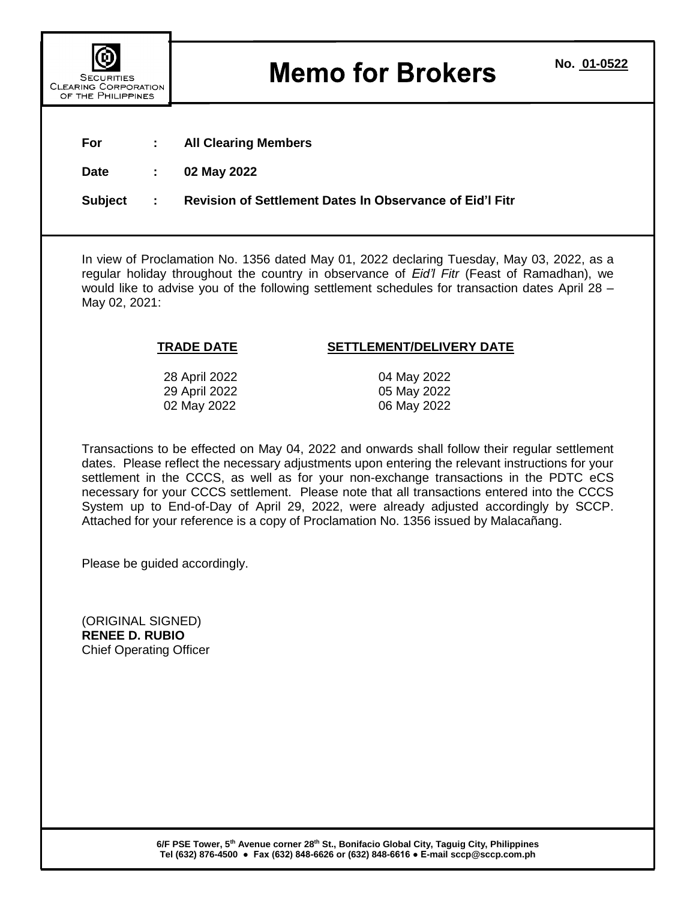| <b>SECURITIES</b><br><b>CLEARING CORPORATION</b><br>OF THE PHILIPPINES |
|------------------------------------------------------------------------|

## **Memo for Brokers**

| LEARING CORPORATION<br>OF THE PHILIPPINES                                                                                                                                                                                                                                                                                                                                                                                                                                                                                                                                  |  |                              |                                                                 |  |
|----------------------------------------------------------------------------------------------------------------------------------------------------------------------------------------------------------------------------------------------------------------------------------------------------------------------------------------------------------------------------------------------------------------------------------------------------------------------------------------------------------------------------------------------------------------------------|--|------------------------------|-----------------------------------------------------------------|--|
| For                                                                                                                                                                                                                                                                                                                                                                                                                                                                                                                                                                        |  | <b>All Clearing Members</b>  |                                                                 |  |
| <b>Date</b>                                                                                                                                                                                                                                                                                                                                                                                                                                                                                                                                                                |  | 02 May 2022                  |                                                                 |  |
| <b>Subject</b>                                                                                                                                                                                                                                                                                                                                                                                                                                                                                                                                                             |  |                              | <b>Revision of Settlement Dates In Observance of Eid'l Fitr</b> |  |
|                                                                                                                                                                                                                                                                                                                                                                                                                                                                                                                                                                            |  |                              |                                                                 |  |
| In view of Proclamation No. 1356 dated May 01, 2022 declaring Tuesday, May 03, 2022, as a<br>regular holiday throughout the country in observance of Eid'l Fitr (Feast of Ramadhan), we<br>would like to advise you of the following settlement schedules for transaction dates April 28 -<br>May 02, 2021:                                                                                                                                                                                                                                                                |  |                              |                                                                 |  |
|                                                                                                                                                                                                                                                                                                                                                                                                                                                                                                                                                                            |  | <b>TRADE DATE</b>            | <b>SETTLEMENT/DELIVERY DATE</b>                                 |  |
|                                                                                                                                                                                                                                                                                                                                                                                                                                                                                                                                                                            |  | 28 April 2022                | 04 May 2022                                                     |  |
|                                                                                                                                                                                                                                                                                                                                                                                                                                                                                                                                                                            |  | 29 April 2022<br>02 May 2022 | 05 May 2022<br>06 May 2022                                      |  |
| Transactions to be effected on May 04, 2022 and onwards shall follow their regular settlement<br>dates. Please reflect the necessary adjustments upon entering the relevant instructions for your<br>settlement in the CCCS, as well as for your non-exchange transactions in the PDTC eCS<br>necessary for your CCCS settlement. Please note that all transactions entered into the CCCS<br>System up to End-of-Day of April 29, 2022, were already adjusted accordingly by SCCP.<br>Attached for your reference is a copy of Proclamation No. 1356 issued by Malacañang. |  |                              |                                                                 |  |
| Please be guided accordingly.                                                                                                                                                                                                                                                                                                                                                                                                                                                                                                                                              |  |                              |                                                                 |  |
| (ORIGINAL SIGNED)<br><b>RENEE D. RUBIO</b><br><b>Chief Operating Officer</b>                                                                                                                                                                                                                                                                                                                                                                                                                                                                                               |  |                              |                                                                 |  |
|                                                                                                                                                                                                                                                                                                                                                                                                                                                                                                                                                                            |  |                              |                                                                 |  |
|                                                                                                                                                                                                                                                                                                                                                                                                                                                                                                                                                                            |  |                              |                                                                 |  |
|                                                                                                                                                                                                                                                                                                                                                                                                                                                                                                                                                                            |  |                              |                                                                 |  |
|                                                                                                                                                                                                                                                                                                                                                                                                                                                                                                                                                                            |  |                              |                                                                 |  |

**6/F PSE Tower, 5th Avenue corner 28th St., Bonifacio Global City, Taguig City, Philippines Tel (632) 876-4500 ● Fax (632) 848-6626 or (632) 848-6616 ● E-mail sccp@sccp.com.ph**